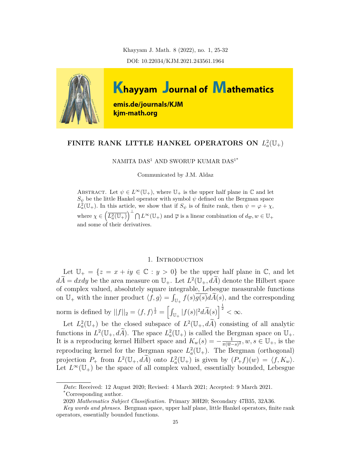Khayyam J. Math. 8 (2022), no. 1, 25-32 DOI: 10.22034/KJM.2021.243561.1964



# FINITE RANK LITTLE HANKEL OPERATORS ON  $L^2_a(\mathbb{U}_+)$

NAMITA DAS<sup>1</sup> AND SWORUP KUMAR DAS<sup>1\*</sup>

Communicated by J.M. Aldaz

ABSTRACT. Let  $\psi \in L^{\infty}(\mathbb{U}_{+})$ , where  $\mathbb{U}_{+}$  is the upper half plane in  $\mathbb{C}$  and let  $S_{\psi}$  be the little Hankel operator with symbol  $\psi$  defined on the Bergman space  $L^2_a(\mathbb{U}_+)$ . In this article, we show that if  $S_\psi$  is of finite rank, then  $\psi = \varphi + \chi$ , where  $\chi \in \left(\overline{L_a^2(\mathbb{U}_+)}\right)^\perp \bigcap L^\infty(\mathbb{U}_+)$  and  $\overline{\varphi}$  is a linear combination of  $d_{\overline{w}}, w \in \mathbb{U}_+$ and some of their derivatives.

### 1. INTRODUCTION

Let  $\mathbb{U}_+ = \{z = x + iy \in \mathbb{C} : y > 0\}$  be the upper half plane in  $\mathbb{C}$ , and let  $d\vec{A} = dxdy$  be the area measure on  $\mathbb{U}_+$ . Let  $L^2(\mathbb{U}_+, dA)$  denote the Hilbert space of complex valued, absolutely square integrable, Lebesgue measurable functions on  $\mathbb{U}_+$  with the inner product  $\langle f, g \rangle = \int_{\mathbb{U}_+} f(s) \overline{g(s)} d\widetilde{A}(s)$ , and the corresponding norm is defined by  $||f||_2 = \langle f, f \rangle^{\frac{1}{2}} = \left[ \int_{\mathbb{U}_+} |f(s)|^2 d\widetilde{A}(s) \right]^{\frac{1}{2}} < \infty$ .

Let  $L^2_a(\mathbb{U}_+)$  be the closed subspace of  $L^2(\mathbb{U}_+, dA)$  consisting of all analytic functions in  $L^2(\mathbb{U}_+, d\tilde{A})$ . The space  $L^2_a(\mathbb{U}_+)$  is called the Bergman space on  $\mathbb{U}_+$ . It is a reproducing kernel Hilbert space and  $K_w(s) = -\frac{1}{\pi(\overline{w})^2}$  $\frac{1}{\pi(\overline{w}-s)^2}$ ,  $w, s \in \mathbb{U}_+$ , is the reproducing kernel for the Bergman space  $L^2_a(\mathbb{U}_+)$ . The Bergman (orthogonal) projection  $P_+$  from  $L^2(\mathbb{U}_+, d\tilde{A})$  onto  $L^2(\mathbb{U}_+)$  is given by  $(P_+ f)(w) = \langle f, K_w \rangle$ . Let  $L^{\infty}(\mathbb{U}_{+})$  be the space of all complex valued, essentially bounded, Lebesgue

*Date*: Received: 12 August 2020; Revised: 4 March 2021; Accepted: 9 March 2021. \*Corresponding author.

<sup>2020</sup> *Mathematics Subject Classification.* Primary 30H20; Secondary 47B35, 32A36.

*Key words and phrases.* Bergman space, upper half plane, little Hankel operators, finite rank operators, essentially bounded functions.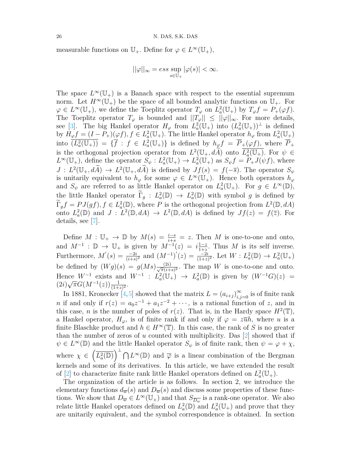measurable functions on  $\mathbb{U}_+$ . Define for  $\varphi \in L^{\infty}(\mathbb{U}_+),$ 

$$
||\varphi||_{\infty} = ess \sup_{s \in \mathbb{U}_+} |\varphi(s)| < \infty.
$$

The space  $L^{\infty}(\mathbb{U}_{+})$  is a Banach space with respect to the essential supremum norm. Let  $H^{\infty}(\mathbb{U}_{+})$  be the space of all bounded analytic functions on  $\mathbb{U}_{+}$ . For  $\varphi \in L^{\infty}(\mathbb{U}_{+})$ , we define the Toeplitz operator  $T_{\varphi}$  on  $L^{2}_{a}(\mathbb{U}_{+})$  by  $T_{\varphi}f = P_{+}(\varphi f)$ . The Toeplitz operator  $T_{\varphi}$  is bounded and  $||T_{\varphi}|| \leq ||\varphi||_{\infty}$ . For more details, see[[3\]](#page-7-0). The big Hankel operator  $H_{\varphi}$  from  $L^2_a(\mathbb{U}_+)$  into  $(L^2_a(\mathbb{U}_+))^{\perp}$  is defined by  $H_{\varphi}f = (I - P_+)(\varphi f), f \in L^2_a(\mathbb{U}_+).$  The little Hankel operator  $h_{\varphi}$  from  $L^2_a(\mathbb{U}_+)$  $\overline{(L_a^2(\mathbb{U}_+))} = {\{\overline{f} : f \in L_a^2(\mathbb{U}_+)\}}$  is defined by  $h_{\varphi} f = \overline{P}_+(\varphi f)$ , where  $\overline{P}_+$ is the orthogonal projection operator from  $L^2(\mathbb{U}_+, dA)$  onto  $\overline{L^2_a(\mathbb{U}_+)}$ . For  $\psi \in$  $L^{\infty}(\mathbb{U}_{+})$ , define the operator  $S_{\psi}: L^{2}_{a}(\mathbb{U}_{+}) \to L^{2}_{a}(\mathbb{U}_{+})$  as  $S_{\psi}f = P_{+}J(\psi f)$ , where  $J: L^2(\mathbb{U}_+, dA) \to L^2(\mathbb{U}_+, dA)$  is defined by  $Jf(s) = f(-\overline{s})$ . The operator  $S_{\psi}$ is unitarily equivalent to  $h_{\varphi}$  for some  $\varphi \in L^{\infty}(\mathbb{U}_{+})$ . Hence both operators  $h_{\varphi}$ and  $S_{\psi}$  are referred to as little Hankel operator on  $L^2_a(\mathbb{U}_+)$ . For  $g \in L^{\infty}(\mathbb{D})$ , the little Hankel operator  $\Gamma_g : L^2_a(\mathbb{D}) \to L^2_a(\mathbb{D})$  with symbol *g* is defined by  $\Gamma_g f = P J(gf), f \in L^2_a(\mathbb{D})$ , where *P* is the orthogonal projection from  $L^2(\mathbb{D}, dA)$ onto  $L^2_a(\mathbb{D})$  and  $J: L^2(\mathbb{D}, dA) \to L^2(\mathbb{D}, dA)$  is defined by  $Jf(z) = f(\overline{z})$ . For details, see [[7\]](#page-7-1).

Define  $M: \mathbb{U}_+ \to \mathbb{D}$  by  $M(s) = \frac{i-s}{i+s} = z$ . Then  $M$  is one-to-one and onto, and  $M^{-1}$  :  $\mathbb{D} \to \mathbb{U}_+$  is given by  $M^{-1}(z) = i\frac{1-z}{1+z}$ . Thus M is its self inverse. Furthermore,  $M'(s) = \frac{-2i}{(i+s)^2}$  and  $(M^{-1})'(z) = \frac{-2i}{(1+z)^2}$ . Let  $W: L^2_a(\mathbb{D}) \to L^2_a(\mathbb{U}_+)$ be defined by  $(Wg)(s) = g(Ms) \frac{(2i)}{\sqrt{\pi}(i+s)^2}$ . The map *W* is one-to-one and onto. Hence  $W^{-1}$  exists and  $W^{-1}$  :  $L^2_a(\mathbb{U}_+) \to L^2_a(\mathbb{D})$  is given by  $(W^{-1}G)(z) =$  $(2i)\sqrt{\pi}G(M^{-1}(z))\frac{1}{(1+z)^2}$ 

In 1881, Kronecker  $[4,5]$  $[4,5]$  $[4,5]$  showed that the matrix  $L = (a_{i+j})_{i,j=0}^{\infty}$  is of finite rank *n* if and only if  $r(z) = a_0 z^{-1} + a_1 z^{-2} + \cdots$ , is a rational function of *z*, and in this case, *n* is the number of poles of  $r(z)$ . That is, in the Hardy space  $H^2(\mathbb{T})$ , a Hankel operator,  $H_{\varphi}$ , is of finite rank if and only if  $\varphi = z\overline{u}h$ , where *u* is a finite Blaschke product and  $h \in H^\infty(\mathbb{T})$ . In this case, the rank of *S* is no greater than the number of zeros of *u* counted with multiplicity. Das [[2](#page-7-4)] showed that if  $\psi \in L^{\infty}(\mathbb{D})$  and the little Hankel operator  $S_{\psi}$  is of finite rank, then  $\psi = \varphi + \chi$ , where  $\chi \in \left(\overline{L_a^2(\mathbb{D})}\right)^{\perp} \bigcap L^{\infty}(\mathbb{D})$  and  $\overline{\varphi}$  is a linear combination of the Bergman kernels and some of its derivatives. In this article, we have extended the result of [[2\]](#page-7-4) to characterize finite rank little Hankel operators defined on  $L^2_a(\mathbb{U}_+)$ .

The organization of the article is as follows. In section 2, we introduce the elementary functions  $d_{\overline{w}}(s)$  and  $D_{\overline{w}}(s)$  and discuss some properties of these functions. We show that  $D_{\overline{w}} \in L^{\infty}(\mathbb{U}_{+})$  and that  $S_{\overline{Dw}}$  is a rank-one operator. We also relate little Hankel operators defined on  $L^2_a(\mathbb{D})$  and  $L^2_a(\mathbb{U}_+)$  and prove that they are unitarily equivalent, and the symbol correspondence is obtained. In section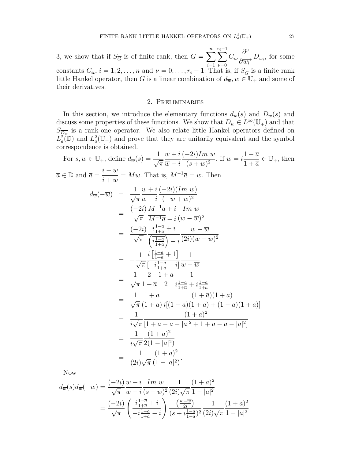3, we show that if  $S_{\overline{G}}$  is of finite rank, then  $G = \sum_{n=1}^{n}$ *i*=1 *r*<sub>i</sub>−1 *ν*=0 *Ciν ∂ ν*  $\frac{\partial}{\partial w_i}$ *D*<sub>*wi*</sub>, for some constants  $C_i, i = 1, 2, \ldots, n$  and  $\nu = 0, \ldots, r_i - 1$ . That is, if  $S_{\overline{G}}$  is a finite rank little Hankel operator, then *G* is a linear combination of  $d_{\overline{w}}$ ,  $w \in \mathbb{U}_+$  and some of their derivatives.

## 2. Preliminaries

In this section, we introduce the elementary functions  $d_{\overline{w}}(s)$  and  $D_{\overline{w}}(s)$  and discuss some properties of these functions. We show that  $D_{\overline{w}} \in L^{\infty}(\mathbb{U}_{+})$  and that  $S_{\overline{D_w}}$  is a rank-one operator. We also relate little Hankel operators defined on  $L^2_a(\mathbb{D})$  and  $L^2_a(\mathbb{U}_+)$  and prove that they are unitarily equivalent and the symbol correspondence is obtained.

For 
$$
s, w \in U_{+}
$$
, define  $d_{\overline{w}}(s) = \frac{1}{\sqrt{\pi}} \frac{w + i(-2i)Im w}{\overline{w} - i}$ . If  $w = i \frac{1 - \overline{a}}{1 + \overline{a}} \in U_{+}$ , then  
\n
$$
\overline{a} \in \mathbb{D} \text{ and } \overline{a} = \frac{i - w}{i + w} = Mw. \text{ That is, } M^{-1}\overline{a} = w. \text{ Then}
$$
\n
$$
d_{\overline{w}}(-\overline{w}) = \frac{1}{\sqrt{\pi}} \frac{w + i(-2i)(Im w)}{w - i(-\overline{w} + w)^2}
$$
\n
$$
= \frac{(-2i) M^{-1}\overline{a} + i \underline{Im w}}{\sqrt{\pi} \overline{M^{-1}\overline{a} - i} (w - \overline{w})^2}
$$
\n
$$
= \frac{(-2i) \overline{a} + i}{\sqrt{\pi}} \frac{i \overline{a} - i}{\overline{a} + i} \frac{w - \overline{w}}{w - \overline{w}}
$$
\n
$$
= \frac{-1}{\sqrt{\pi}} \frac{i \overline{a} + i}{i \overline{a} + i} \frac{1}{i \overline{a} - i} \frac{1}{i w - \overline{w}}
$$
\n
$$
= \frac{1}{\sqrt{\pi}} \frac{2}{1 + i \overline{a}} + 1 \frac{1}{i \overline{a}} - i \frac{1}{i w - \overline{w}}
$$
\n
$$
= \frac{1}{\sqrt{\pi}} \frac{2}{1 + i \overline{a}} - i \frac{1}{i \overline{a} + i \frac{1 - a}{1 + a}}
$$
\n
$$
= \frac{1}{\sqrt{\pi}} \frac{2}{1 + i \overline{a}} - i \frac{1}{i \overline{a} + i \frac{1 - a}{1 + a}}
$$
\n
$$
= \frac{1}{\sqrt{\pi}} \frac{1 + a}{i(1 + \overline{a})} \frac{(1 + \overline{a})(1 + a)}{i(1 - \overline{a})(1 + a) + (1 - a)(1 + \overline{a})}
$$
\n
$$
= \frac{1}{i \sqrt{\pi}} \frac{(1 + a)^2}{i[1 + a - \overline{a} - |a|^2 + 1 +
$$

Now

$$
d_{\overline{w}}(s)d_{\overline{w}}(-\overline{w}) = \frac{(-2i)}{\sqrt{\pi}} \frac{w+i}{\overline{w}-i} \frac{Im \ w}{(s+w)^2} \frac{1}{(2i)\sqrt{\pi}} \frac{(1+a)^2}{1-|a|^2}
$$
  
= 
$$
\frac{(-2i)}{\sqrt{\pi}} \left( \frac{i\frac{1-\overline{a}}{1+\overline{a}}+i}{-i\frac{1-a}{1+a}-i} \right) \frac{(\frac{w-\overline{w}}{2i})}{(s+i\frac{1-\overline{a}}{1+\overline{a}})^2} \frac{1}{(2i)\sqrt{\pi}} \frac{(1+a)^2}{1-|a|^2}
$$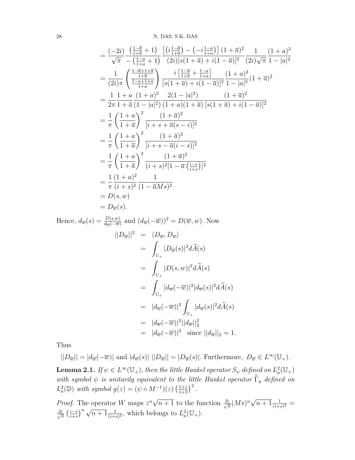$$
= \frac{(-2i)}{\sqrt{\pi}} \frac{\left(\frac{1-\overline{a}}{1+\overline{a}}+1\right)}{-\left(\frac{1-\overline{a}}{1+\overline{a}}+1\right)} \frac{\left[\left(i\frac{1-\overline{a}}{1+\overline{a}}\right)-\left(-i\frac{1-\overline{a}}{1+\overline{a}}\right]\right](1+\overline{a})^2}{(2i)\sqrt{\pi}} \frac{1}{(2i)\sqrt{\pi}} \frac{(1+a)^2}{1-|a|^2}
$$
\n
$$
= \frac{1}{(2i)\pi} \left(\frac{\frac{1-\overline{a}}{1+\overline{a}}}{\frac{1-\overline{a}+1+\overline{a}}{1+\overline{a}}}\right) \frac{i\left[\frac{1-\overline{a}}{1+\overline{a}}+\frac{1-\overline{a}}{1+\overline{a}}\right]}{[s(1+\overline{a})+i(1-\overline{a})]^2} \frac{(1+a)^2}{1-|a|^2}(1+\overline{a})^2
$$
\n
$$
= \frac{1}{2\pi} \frac{1+a}{1+\overline{a}} \frac{(1+a)^2}{(1-|a|^2)} \frac{2(1-|a|^2)}{(1+a)(1+\overline{a})} \frac{(1+\overline{a})^2}{[s(1+\overline{a})+i(1-\overline{a})]^2}
$$
\n
$$
= \frac{1}{\pi} \left(\frac{1+a}{1+\overline{a}}\right)^2 \frac{(1+\overline{a})^2}{[i+s+\overline{a}(s-i)]^2}
$$
\n
$$
= \frac{1}{\pi} \left(\frac{1+a}{1+\overline{a}}\right)^2 \frac{(1+\overline{a})^2}{(i+s)^2[1-\overline{a}(\frac{i-s}{i+s})]^2}
$$
\n
$$
= \frac{1}{\pi} \frac{(1+a)^2}{(i+s)^2} \frac{1}{(1-\overline{a}Ms)^2}
$$
\n
$$
= D(s, w)
$$
\n
$$
= D(w, s).
$$

Hence,  $d_{\overline{w}}(s) = \frac{D(s,w)}{d_{\overline{w}}(-\overline{w})}$  and  $(d_{\overline{w}}(-\overline{w}))^2 = D(\overline{w},w)$ . Now  $||D_{\overline{w}}||^2 = \langle D_{\overline{w}}, D_{\overline{w}}\rangle$ = Z  $\mathbb{U}_+$  $|D_{\overline{w}}(s)|^2 d\widetilde{A}(s)$ = Z  $\mathbb{U}_+$  $|D(s, w)|^2 d\widetilde{A}(s)$ = Z  $\mathbb{U}_+$  $|d_{\overline{w}}(-\overline{w})|^2 |d_{\overline{w}}(s)|^2 d\widetilde{A}(s)$  $= |d_{\overline{w}}(-\overline{w})|^2$  $\mathbb{U}_+$  $|d_{\overline{w}}(s)|^2 d\widetilde{A}(s)$  $= |d_{\overline{w}}(-\overline{w})|^2||d_{\overline{w}}||_2^2$  $= |d_{\overline{w}}(-\overline{w})|^2$  since  $||d_{\overline{w}}||_2 = 1$ .

Thus

$$
||D_{\overline{w}}|| = |d_{\overline{w}}(-\overline{w})| \text{ and } |d_{\overline{w}}(s)| ||D_{\overline{w}}|| = |D_{\overline{w}}(s)|. \text{ Furthermore, } D_{\overline{w}} \in L^{\infty}(\mathbb{U}_{+}).
$$

**Lemma 2.1.** *If*  $\psi \in L^{\infty}(\mathbb{U}_{+})$ *, then the little Hankel operator*  $S_{\psi}$  *defined on*  $L^2_a(\mathbb{U}_{+})$ *with symbol*  $\psi$  *is unitarily equivalent to the little Hankel operator*  $\widetilde{\Gamma}_g$  *defined on*  $L^2_a(\mathbb{D})$  *with symbol*  $g(z) = (\psi \circ M^{-1})(z) \left( \frac{1+z}{1+\overline{z}} \right)$  $\frac{1+z}{1+\overline{z}}$ <sup>2</sup>.

*Proof.* The operator *W* maps  $z^n \sqrt{z}$  $\overline{n+1}$  to the function  $\frac{2i}{\sqrt{2}}$  $\frac{i}{\pi}(Ms)^n \sqrt{n+1} \frac{1}{(i+s)^2}$  = *√* 2*i*  $\frac{i}{\pi} \left( \frac{i-s}{i+s} \right)^n \sqrt{n+1} \frac{1}{(i+s)^2}$ , which belongs to  $L^2_a(\mathbb{U}_+)$ .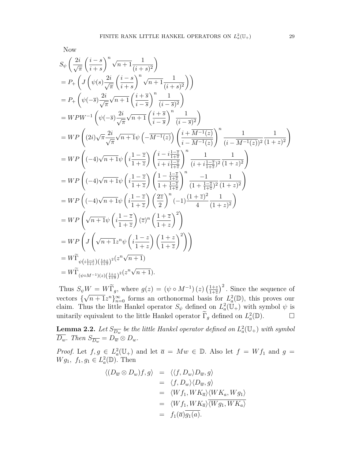Now

$$
S_{\psi}\left(\frac{2i}{\sqrt{\pi}}\left(\frac{i-s}{i+s}\right)^{n}\sqrt{n+1}\frac{1}{(i+s)^{2}}\right)
$$
  
\n
$$
= P_{+}\left(J\left(\psi(s)\frac{2i}{\sqrt{\pi}}\left(\frac{i-s}{i+s}\right)^{n}\sqrt{n+1}\frac{1}{(i+s)^{2}}\right)\right)
$$
  
\n
$$
= P_{+}\left(\psi(-\overline{s})\frac{2i}{\sqrt{\pi}}\sqrt{n+1}\left(\frac{i+\overline{s}}{i-\overline{s}}\right)^{n}\frac{1}{(i-\overline{s})^{2}}\right)
$$
  
\n
$$
= WPW^{-1}\left(\psi(-\overline{s})\frac{2i}{\sqrt{\pi}}\sqrt{n+1}\left(\frac{i+\overline{s}}{i-\overline{s}}\right)^{n}\frac{1}{(i-\overline{s})^{2}}\right)
$$
  
\n
$$
= WP\left((2i)\sqrt{\pi}\frac{2i}{\sqrt{\pi}}\sqrt{n+1}\psi\left(-\overline{M^{-1}(z)}\right)\left(\frac{i+\overline{M^{-1}(z)}}{i-\overline{M^{-1}(z)}}\right)^{n}\frac{1}{(i-\overline{M^{-1}(z)})^{2}}\frac{1}{(1+z)^{2}}\right)
$$
  
\n
$$
= WP\left((-4)\sqrt{n+1}\psi\left(i\frac{1-\overline{z}}{1+\overline{z}}\right)\left(\frac{i-i\frac{1-\overline{z}}{i+\overline{z}}}{i+i\frac{1-\overline{z}}{1+\overline{z}}}\right)^{n}\frac{1}{(i+i\frac{1-\overline{z}}{1+\overline{z}})^{2}}\frac{1}{(1+z)^{2}}\right)
$$
  
\n
$$
= WP\left((-4)\sqrt{n+1}\psi\left(i\frac{1-\overline{z}}{1+\overline{z}}\right)\left(\frac{1-\frac{1-\overline{z}}{1+\overline{z}}}{1+\frac{1-\overline{z}}{1+\overline{z}}}\right)^{n}\frac{-1}{(1+\frac{1-\overline{z}}{1+\overline{z}})^{2}}\frac{1}{(1+z)^{2}}\right)
$$
  
\n
$$
= WP\left((-4)\sqrt{n+1}\psi\left(i\frac{1-\overline{z}}{1+\overline{z}}\right)\left(\frac{2\overline{z}}{2}\right)^{n}(-1)\frac
$$

Thus  $S_{\psi}W = W\widetilde{\Gamma}_g$ , where  $g(z) = (\psi \circ M^{-1})(z) \left(\frac{1+z}{1+\overline{z}}\right)$  $W = W\widetilde{\Gamma}_g$ , where  $g(z) = (\psi \circ M^{-1})(z) \left(\frac{1+z}{1+\overline{z}}\right)^2$ . Since the sequence of vectors  $\{\sqrt{n+1}z^n\}_{n=0}^{\infty}$  forms an orthonormal basis for  $L^2_a(\mathbb{D})$ , this proves our claim. Thus the little Hankel operator  $S_{\psi}$  defined on  $L^2_a(\mathbb{U}_+)$  with symbol  $\psi$  is unitarily equivalent to the little Hankel operator  $\tilde{\Gamma}_g$  defined on  $L^2_a(\mathbb{D})$ .  $\Box$ 

**Lemma 2.2.** Let  $S_{\overline{D_w}}$  be the little Hankel operator defined on  $L^2_a(\mathbb{U}_+)$  with symbol  $\overline{D_w}$ *. Then*  $S_{\overline{D_w}} = D_{\overline{w}} \otimes D_w$ *.* 

*Proof.* Let  $f, g \in L_a^2(\mathbb{U}_+)$  and let  $\overline{a} = Mw \in \mathbb{D}$ . Also let  $f = Wf_1$  and  $g =$ *W g*<sub>1</sub>*, f*<sub>1</sub>*, g*<sub>1</sub>  $\in L^2_a(\mathbb{D})$ *.* Then

$$
\langle (D_{\overline{w}} \otimes D_w)f, g \rangle = \langle \langle f, D_w \rangle D_{\overline{w}}, g \rangle
$$
  
\n
$$
= \langle f, D_w \rangle \langle D_{\overline{w}}, g \rangle
$$
  
\n
$$
= \langle Wf_1, WK_{\overline{a}} \rangle \langle WK_a, Wg_1 \rangle
$$
  
\n
$$
= \langle Wf_1, WK_{\overline{a}} \rangle \overline{\langle Wg_1, WK_a \rangle}
$$
  
\n
$$
= f_1(\overline{a})\overline{g_1(a)}.
$$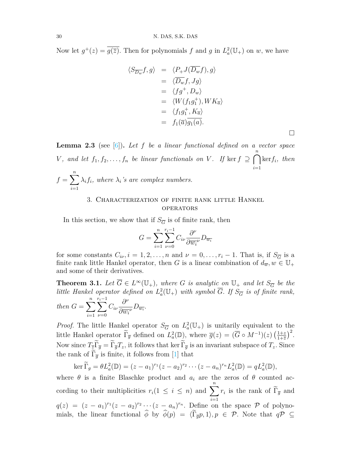Now let  $g^+(z) = \overline{g(\overline{z})}$ . Then for polynomials f and g in  $L^2_a(\mathbb{U}_+)$  on w, we have

$$
\langle S_{\overline{D_w}} f, g \rangle = \langle P_+ J(\overline{D_w} f), g \rangle \n= \langle \overline{D_w} f, Jg \rangle \n= \langle f g^+, D_w \rangle \n= \langle W(f_1 g_1^+), W K_{\overline{a}} \rangle \n= \langle f_1 g_1^+, K_{\overline{a}} \rangle \n= f_1(\overline{a}) \overline{g_1(a)}.
$$

<span id="page-5-0"></span>**Lemma 2.3** (see [\[6\]](#page-7-5))**.** *Let f be a linear functional defined on a vector space V*, and let  $f_1, f_2, \ldots, f_n$  be linear functionals on *V*. If ker  $f \supseteq \bigcap^n$ *i*=1 ker*fi, then*  $f = \sum_{n=1}^{n}$  $\lambda_i f_i$ , where  $\lambda_i$ 's are complex numbers.

## 3. Characterization of finite rank little Hankel **OPERATORS**

In this section, we show that if  $S_{\overline{G}}$  is of finite rank, then

$$
G = \sum_{i=1}^{n} \sum_{\nu=0}^{r_i - 1} C_{i\nu} \frac{\partial^{\nu}}{\partial \overline{w_i}^{\nu}} D_{\overline{w_i}}
$$

for some constants  $C_{i\nu}, i = 1, 2, \ldots, n$  and  $\nu = 0, \ldots, r_i - 1$ . That is, if  $S_{\overline{G}}$  is a finite rank little Hankel operator, then *G* is a linear combination of  $d_{\overline{w}}$ ,  $w \in \mathbb{U}_+$ and some of their derivatives.

<span id="page-5-1"></span>**Theorem 3.1.** Let  $\overline{G} \in L^{\infty}(\mathbb{U}_{+})$ , where G is analytic on  $\mathbb{U}_{+}$  and let  $S_{\overline{G}}$  be the *little Hankel operator defined on*  $L^2_a(\mathbb{U}_+)$  *with symbol*  $\overline{G}$ . If  $S_{\overline{G}}$  *is of finite rank,*  $\sum_{i=1}^{n} \sum_{i=1}^{r_i-1} C_{i\nu}$ *∂ ν .*

then 
$$
G = \sum_{i=1}^{n} \sum_{\nu=0}^{n} C_{i\nu} \frac{\partial}{\partial \overline{w_{i}}^{\nu}} D_{\overline{w_{i}}}
$$

*Proof.* The little Hankel operator  $S_{\overline{G}}$  on  $L^2_a(\mathbb{U}_+)$  is unitarily equivalent to the little Hankel operator  $\widetilde{\Gamma}_{\overline{g}}$  defined on  $L^2_a(\mathbb{D})$ , where  $\overline{g}(z) = (\overline{G} \circ M^{-1})(z) \left(\frac{1+z}{1+\overline{z}}\right)$  $rac{1+z}{1+\overline{z}}$ <sup>2</sup>. Now since  $T_z\widetilde{\Gamma}_{\overline{g}} = \widetilde{\Gamma}_{\overline{g}}T_z$ , it follows that ker  $\widetilde{\Gamma}_{\overline{g}}$  is an invariant subspace of  $T_z$ . Since the rank of  $\Gamma_{\overline{q}}$  is finite, it follows from [[1\]](#page-7-6) that

$$
\ker \widetilde{\Gamma}_g = \theta L_a^2(\mathbb{D}) = (z - a_1)^{r_1} (z - a_2)^{r_2} \cdots (z - a_n)^{r_n} L_a^2(\mathbb{D}) = q L_a^2(\mathbb{D}),
$$

where  $\theta$  is a finite Blaschke product and  $a_i$  are the zeros of  $\theta$  counted according to their multiplicities  $r_i(1 \leq i \leq n)$  and  $\sum_{i=1}^{n}$ *i*=1  $r_i$  is the rank of  $\Gamma_{\overline{g}}$  and  $q(z) = (z - a_1)^{r_1}(z - a_2)^{r_2} \cdots (z - a_n)^{r_n}$ . Define on the space *P* of polynomials, the linear functional  $\hat{\phi}$  by  $\hat{\phi}(p) = \langle \tilde{\Gamma}_{\overline{q}}p, 1 \rangle, p \in \mathcal{P}$ . Note that  $q\mathcal{P} \subseteq$ 

*i*=1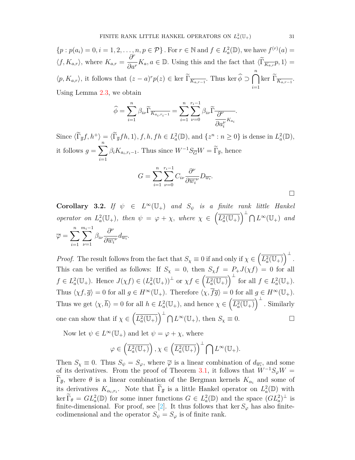$$
\{p : p(a_i) = 0, i = 1, 2, \dots, n, p \in \mathcal{P}\}.
$$
 For  $r \in \mathbb{N}$  and  $f \in L_a^2(\mathbb{D})$ , we have  $f^{(r)}(a) = \langle f, K_{a,r} \rangle$ , where  $K_{a,r} = \frac{\partial^r}{\partial a^r} K_a, a \in \mathbb{D}$ . Using this and the fact that  $\langle \widetilde{\Gamma}_{\overline{K_{a,r}}} p, 1 \rangle = \langle p, K_{a,r} \rangle$ , it follows that  $(z - a)^r p(z) \in \text{ker } \widetilde{\Gamma}_{\overline{K_{a,r-1}}}.$  Thus  $\text{ker } \widehat{\phi} \supset \bigcap_{i=1}^n \text{ker } \widetilde{\Gamma}_{\overline{K_{a,r-1}}}.$   
Using Lemma 2.3, we obtain

$$
\widehat{\phi} = \sum_{i=1}^{n} \beta_{i\nu} \widetilde{\Gamma}_{\overline{K_{a_i, r_i - 1}}} = \sum_{i=1}^{n} \sum_{\nu=0}^{r_i - 1} \beta_{i\nu} \widetilde{\Gamma}_{\overline{\partial_{\nu}^{\nu}} K_{a_i}}.
$$

Since  $\langle \tilde{\Gamma}_{\overline{g}}f, h^+\rangle = \langle \tilde{\Gamma}_{\overline{g}}fh, 1\rangle, f, h, fh \in L^2_a(\mathbb{D})$ , and  $\{z^n : n \geq 0\}$  is dense in  $L^2_a(\mathbb{D})$ , it follows  $g = \sum_{n=1}^{\infty}$ *i*=1  $\beta_i K_{a_i, r_i - 1}$ . Thus since  $W^{-1} S_{\overline{G}} W = \Gamma_{\overline{g}}$ , hence  $G = \sum_{n=1}^{n}$ *i*=1 *r*<sub>i</sub><sup>−1</sup> *ν*=0 *Ciν ∂ ν*  $\frac{\partial}{\partial \overline{w_i}^{\nu}} D_{\overline{w_i}}.$ 

$$
\Box
$$

**Corollary 3.2.** *If*  $\psi \in L^{\infty}(\mathbb{U}_{+})$  *and*  $S_{\psi}$  *is a finite rank little Hankel operator on*  $L_a^2(\mathbb{U}_+),$  *then*  $\psi = \varphi + \chi$ *, where*  $\chi \in \left(\overline{L_a^2(\mathbb{U}_+)}\right)^\perp \bigcap L^\infty(\mathbb{U}_+)$  *and*  $\overline{\varphi} = \sum_{n=1}^{n}$ *i*=1 *mi−*1 *ν*=1 *βiν ∂ ν*  $\frac{\partial}{\partial \overline{w_i}^{\nu}} d_{\overline{w_i}}.$ 

*Proof.* The result follows from the fact that  $S_\chi \equiv 0$  if and only if  $\chi \in \left(\overline{L_a^2(\mathbb{U}_+)}\right)^\perp$ . This can be verified as follows: If  $S_\chi = 0$ , then  $S_\chi f = P_+ J(\chi f) = 0$  for all  $f \in L^2_a(\mathbb{U}_+).$  Hence  $J(\chi f) \in (L^2_a(\mathbb{U}_+))^{\perp}$  or  $\chi f \in (\overline{L^2_a(\mathbb{U}_+)})^{\perp}$  for all  $f \in L^2_a(\mathbb{U}_+).$ Thus  $\langle \chi f, \overline{g} \rangle = 0$  for all  $g \in H^\infty(\mathbb{U}_+)$ . Therefore  $\langle \chi, \overline{f} \overline{g} \rangle = 0$  for all  $g \in H^\infty(\mathbb{U}_+)$ . Thus we get  $\langle \chi, \overline{h} \rangle = 0$  for all  $h \in L^2_a(\mathbb{U}_+),$  and hence  $\chi \in \left( \overline{L^2_a(\mathbb{U}_+)} \right)^{\perp}$ . Similarly one can show that if  $\chi \in \left(\overline{L_a^2(\mathbb{U}_+)}\right)^{\perp} \bigcap L^{\infty}(\mathbb{U}_+),$  then  $S_{\chi} \equiv 0$ .

Now let  $\psi \in L^{\infty}(\mathbb{U}_{+})$  and let  $\psi = \varphi + \chi$ , where

$$
\varphi \in \left(\overline{L_a^2(\mathbb{U}_+)}\right), \chi \in \left(\overline{L_a^2(\mathbb{U}_+)}\right)^\perp \bigcap L^\infty(\mathbb{U}_+).
$$

Then  $S_\chi \equiv 0$ . Thus  $S_\psi = S_\varphi$ , where  $\overline{\varphi}$  is a linear combination of  $d_{\overline{w_i}}$ , and some of its derivatives. From the proof of Theorem [3.1,](#page-5-1) it follows that  $W^{-1}S_{\varphi}W =$  $\Gamma_{\overline{\theta}}$ , where  $\theta$  is a linear combination of the Bergman kernels  $K_{\alpha_i}$  and some of its derivatives  $K_{\alpha_i,r_i}$ . Note that  $\Gamma_{\overline{\theta}}$  is a little Hankel operator on  $L^2_a(\mathbb{D})$  with  $\ker \Gamma_{\theta} = GL_a^2(\mathbb{D})$  for some inner functions  $G \in L_a^2(\mathbb{D})$  and the space  $(GL_a^2)^{\perp}$  is finite-dimensional. For proof, see [[2](#page-7-4)]. It thus follows that ker  $S_\varphi$  has also finitecodimensional and the operator  $S_{\psi} = S_{\varphi}$  is of finite rank.